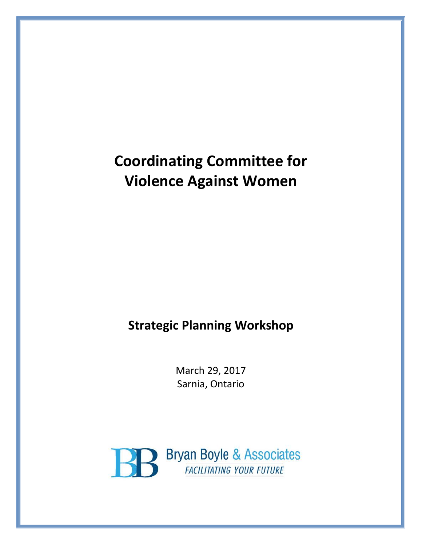# **Coordinating Committee for Violence Against Women**

## **Strategic Planning Workshop**

March 29, 2017 Sarnia, Ontario

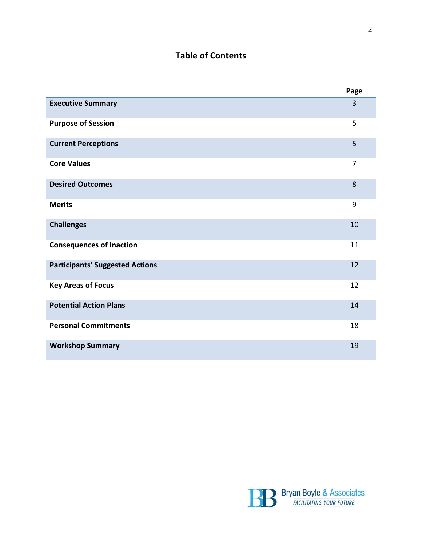### **Table of Contents**

|                                        | Page           |
|----------------------------------------|----------------|
| <b>Executive Summary</b>               | $\overline{3}$ |
| <b>Purpose of Session</b>              | 5              |
| <b>Current Perceptions</b>             | 5              |
| <b>Core Values</b>                     | 7              |
| <b>Desired Outcomes</b>                | 8              |
| <b>Merits</b>                          | 9              |
| <b>Challenges</b>                      | 10             |
| <b>Consequences of Inaction</b>        | 11             |
| <b>Participants' Suggested Actions</b> | 12             |
| <b>Key Areas of Focus</b>              | 12             |
| <b>Potential Action Plans</b>          | 14             |
| <b>Personal Commitments</b>            | 18             |
| <b>Workshop Summary</b>                | 19             |

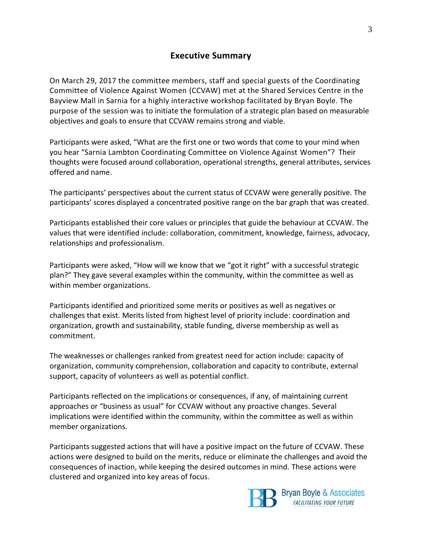#### **Executive Summary**

On March 29, 2017 the committee members, staff and special guests of the Coordinating Committee of Violence Against Women (CCVAW) met at the Shared Services Centre in the Bayview Mall in Sarnia for a highly interactive workshop facilitated by Bryan Boyle. The purpose of the session was to initiate the formulation of a strategic plan based on measurable objectives and goals to ensure that CCVAW remains strong and viable.

Participants were asked, "What are the first one or two words that come to your mind when you hear "Sarnia Lambton Coordinating Committee on Violence Against Women"? Their thoughts were focused around collaboration, operational strengths, general attributes, services offered and name.

The participants' perspectives about the current status of CCVAW were generally positive. The participants' scores displayed a concentrated positive range on the bar graph that was created.

Participants established their core values or principles that guide the behaviour at CCVAW. The values that were identified include: collaboration, commitment, knowledge, fairness, advocacy, relationships and professionalism.

Participants were asked, "How will we know that we "got it right" with a successful strategic plan?" They gave several examples within the community, within the committee as well as within member organizations.

Participants identified and prioritized some merits or positives as well as negatives or challenges that exist. Merits listed from highest level of priority include: coordination and organization, growth and sustainability, stable funding, diverse membership as well as commitment.

The weaknesses or challenges ranked from greatest need for action include: capacity of organization, community comprehension, collaboration and capacity to contribute, external support, capacity of volunteers as well as potential conflict.

Participants reflected on the implications or consequences, if any, of maintaining current approaches or "business as usual" for CCVAW without any proactive changes. Several implications were identified within the community, within the committee as well as within member organizations.

Participants suggested actions that will have a positive impact on the future of CCVAW. These actions were designed to build on the merits, reduce or eliminate the challenges and avoid the consequences of inaction, while keeping the desired outcomes in mind. These actions were clustered and organized into key areas of focus.

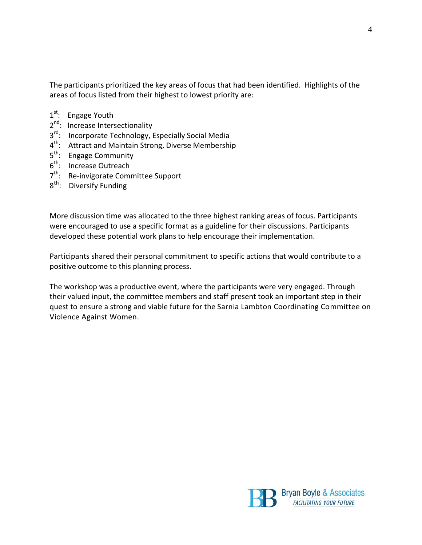The participants prioritized the key areas of focus that had been identified. Highlights of the areas of focus listed from their highest to lowest priority are:

- 1<sup>st</sup>: Engage Youth
- 2<sup>nd</sup>: Increase Intersectionality
- 3<sup>rd</sup>: Incorporate Technology, Especially Social Media
- 4<sup>th</sup>: Attract and Maintain Strong, Diverse Membership
- $5^{\text{th}}$ : Engage Community
- 6<sup>th</sup>: Increase Outreach
- 7<sup>th</sup>: Re-invigorate Committee Support
- 8<sup>th</sup>: Diversify Funding

More discussion time was allocated to the three highest ranking areas of focus. Participants were encouraged to use a specific format as a guideline for their discussions. Participants developed these potential work plans to help encourage their implementation.

Participants shared their personal commitment to specific actions that would contribute to a positive outcome to this planning process.

The workshop was a productive event, where the participants were very engaged. Through their valued input, the committee members and staff present took an important step in their quest to ensure a strong and viable future for the Sarnia Lambton Coordinating Committee on Violence Against Women.

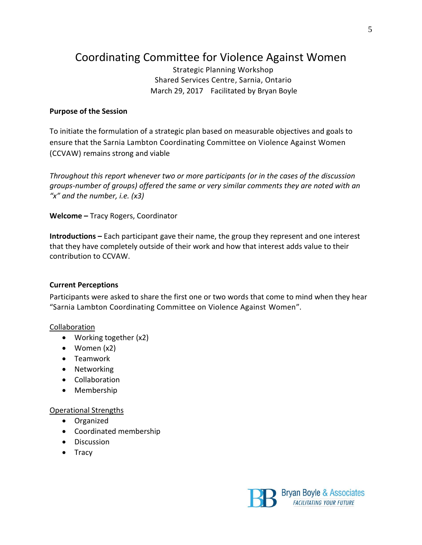## Coordinating Committee for Violence Against Women

Strategic Planning Workshop Shared Services Centre, Sarnia, Ontario March 29, 2017 Facilitated by Bryan Boyle

#### **Purpose of the Session**

To initiate the formulation of a strategic plan based on measurable objectives and goals to ensure that the Sarnia Lambton Coordinating Committee on Violence Against Women (CCVAW) remains strong and viable

*Throughout this report whenever two or more participants (or in the cases of the discussion groups-number of groups) offered the same or very similar comments they are noted with an "x" and the number, i.e. (x3)*

**Welcome –** Tracy Rogers, Coordinator

**Introductions –** Each participant gave their name, the group they represent and one interest that they have completely outside of their work and how that interest adds value to their contribution to CCVAW.

#### **Current Perceptions**

Participants were asked to share the first one or two words that come to mind when they hear "Sarnia Lambton Coordinating Committee on Violence Against Women".

#### Collaboration

- Working together (x2)
- Women (x2)
- Teamwork
- Networking
- Collaboration
- Membership

#### Operational Strengths

- Organized
- Coordinated membership
- **•** Discussion
- Tracy

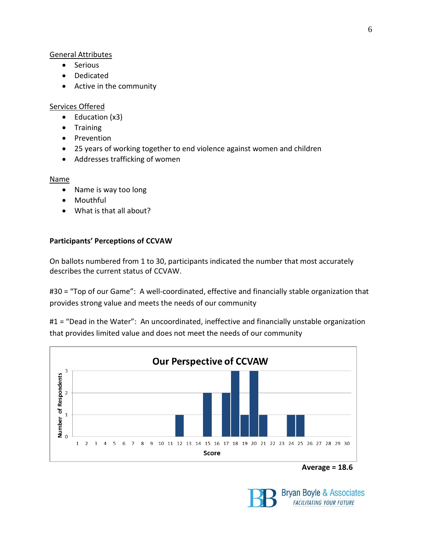#### General Attributes

- Serious
- Dedicated
- Active in the community

#### Services Offered

- $\bullet$  Education (x3)
- Training
- Prevention
- 25 years of working together to end violence against women and children
- Addresses trafficking of women

#### Name

- Name is way too long
- Mouthful
- What is that all about?

#### **Participants' Perceptions of CCVAW**

On ballots numbered from 1 to 30, participants indicated the number that most accurately describes the current status of CCVAW.

#30 = "Top of our Game": A well-coordinated, effective and financially stable organization that provides strong value and meets the needs of our community

#1 = "Dead in the Water": An uncoordinated, ineffective and financially unstable organization that provides limited value and does not meet the needs of our community



**Average = 18.6**



Bryan Boyle & Associates **FACILITATING YOUR FUTURE**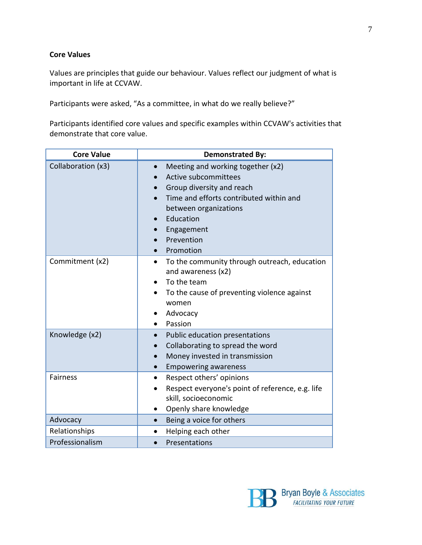#### **Core Values**

Values are principles that guide our behaviour. Values reflect our judgment of what is important in life at CCVAW.

Participants were asked, "As a committee, in what do we really believe?"

Participants identified core values and specific examples within CCVAW's activities that demonstrate that core value.

| <b>Core Value</b>  | <b>Demonstrated By:</b>                                                                                                                                                                                                       |
|--------------------|-------------------------------------------------------------------------------------------------------------------------------------------------------------------------------------------------------------------------------|
| Collaboration (x3) | Meeting and working together (x2)<br>$\bullet$<br>Active subcommittees<br>Group diversity and reach<br>Time and efforts contributed within and<br>between organizations<br>Education<br>Engagement<br>Prevention<br>Promotion |
| Commitment (x2)    | To the community through outreach, education<br>$\bullet$<br>and awareness (x2)<br>To the team<br>To the cause of preventing violence against<br>women<br>Advocacy<br>Passion                                                 |
| Knowledge (x2)     | Public education presentations<br>Collaborating to spread the word<br>Money invested in transmission<br><b>Empowering awareness</b>                                                                                           |
| <b>Fairness</b>    | Respect others' opinions<br>Respect everyone's point of reference, e.g. life<br>skill, socioeconomic<br>Openly share knowledge<br>$\bullet$                                                                                   |
| Advocacy           | Being a voice for others<br>$\bullet$                                                                                                                                                                                         |
| Relationships      | Helping each other<br>$\bullet$                                                                                                                                                                                               |
| Professionalism    | Presentations                                                                                                                                                                                                                 |

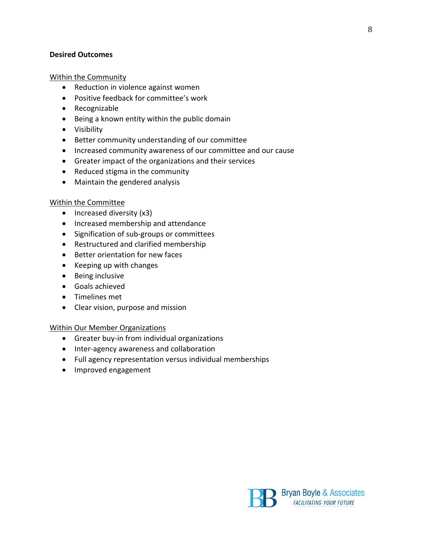#### **Desired Outcomes**

#### Within the Community

- Reduction in violence against women
- Positive feedback for committee's work
- Recognizable
- Being a known entity within the public domain
- Visibility
- Better community understanding of our committee
- Increased community awareness of our committee and our cause
- Greater impact of the organizations and their services
- Reduced stigma in the community
- Maintain the gendered analysis

#### Within the Committee

- $\bullet$  Increased diversity (x3)
- Increased membership and attendance
- Signification of sub-groups or committees
- Restructured and clarified membership
- Better orientation for new faces
- Keeping up with changes
- Being inclusive
- Goals achieved
- Timelines met
- Clear vision, purpose and mission

#### Within Our Member Organizations

- Greater buy-in from individual organizations
- Inter-agency awareness and collaboration
- Full agency representation versus individual memberships
- Improved engagement

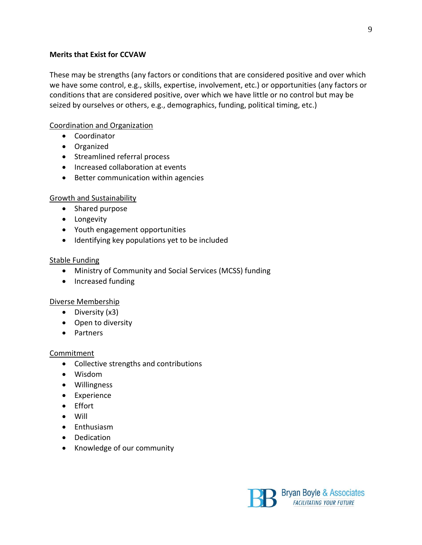#### **Merits that Exist for CCVAW**

These may be strengths (any factors or conditions that are considered positive and over which we have some control, e.g., skills, expertise, involvement, etc.) or opportunities (any factors or conditions that are considered positive, over which we have little or no control but may be seized by ourselves or others, e.g., demographics, funding, political timing, etc.)

#### Coordination and Organization

- Coordinator
- Organized
- Streamlined referral process
- Increased collaboration at events
- Better communication within agencies

#### Growth and Sustainability

- Shared purpose
- Longevity
- Youth engagement opportunities
- Identifying key populations yet to be included

#### Stable Funding

- Ministry of Community and Social Services (MCSS) funding
- Increased funding

#### Diverse Membership

- Diversity (x3)
- Open to diversity
- **•** Partners

#### Commitment

- Collective strengths and contributions
- Wisdom
- Willingness
- Experience
- Effort
- Will
- Enthusiasm
- Dedication
- Knowledge of our community

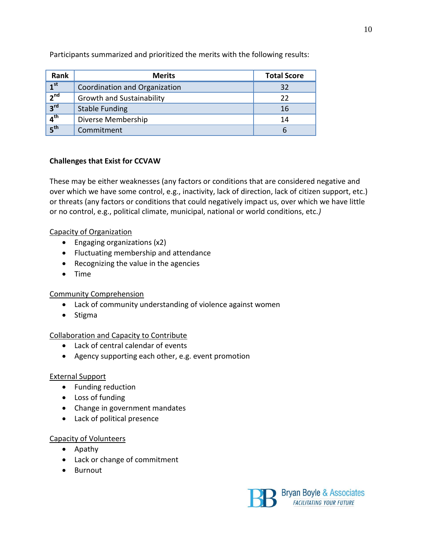| Rank            | <b>Merits</b>                    | <b>Total Score</b> |
|-----------------|----------------------------------|--------------------|
| 1 <sup>st</sup> | Coordination and Organization    | 32                 |
| 2 <sup>nd</sup> | <b>Growth and Sustainability</b> | 22                 |
| 3 <sup>rd</sup> | <b>Stable Funding</b>            | 16                 |
| 4 <sup>th</sup> | Diverse Membership               | 14                 |
| 5 <sup>th</sup> | Commitment                       |                    |

Participants summarized and prioritized the merits with the following results:

#### **Challenges that Exist for CCVAW**

These may be either weaknesses (any factors or conditions that are considered negative and over which we have some control, e.g., inactivity, lack of direction, lack of citizen support, etc.) or threats (any factors or conditions that could negatively impact us, over which we have little or no control, e.g., political climate, municipal, national or world conditions, etc.*)*

#### Capacity of Organization

- Engaging organizations (x2)
- Fluctuating membership and attendance
- Recognizing the value in the agencies
- Time

#### Community Comprehension

- Lack of community understanding of violence against women
- Stigma

#### Collaboration and Capacity to Contribute

- Lack of central calendar of events
- Agency supporting each other, e.g. event promotion

#### External Support

- Funding reduction
- Loss of funding
- Change in government mandates
- Lack of political presence

#### Capacity of Volunteers

- Apathy
- Lack or change of commitment
- Burnout



**FACILITATING YOUR FUTURE**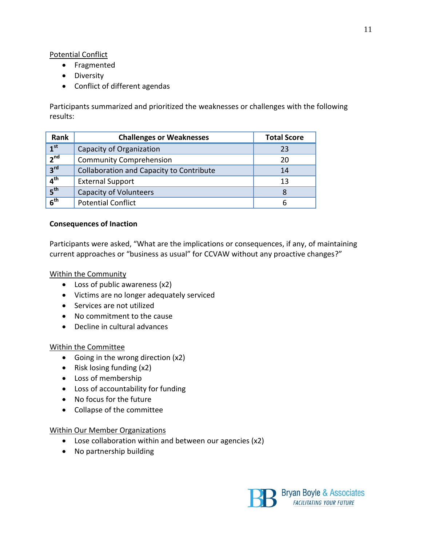#### Potential Conflict

- Fragmented
- **•** Diversity
- Conflict of different agendas

Participants summarized and prioritized the weaknesses or challenges with the following results:

| Rank            | <b>Challenges or Weaknesses</b>          | <b>Total Score</b> |
|-----------------|------------------------------------------|--------------------|
| 1 <sup>st</sup> | Capacity of Organization                 | 23                 |
| 2 <sup>nd</sup> | <b>Community Comprehension</b>           | 20                 |
| 3 <sup>rd</sup> | Collaboration and Capacity to Contribute | 14                 |
| 4 <sup>th</sup> | <b>External Support</b>                  | 13                 |
| 5 <sup>th</sup> | <b>Capacity of Volunteers</b>            | 8                  |
| 6 <sup>th</sup> | <b>Potential Conflict</b>                | h                  |

#### **Consequences of Inaction**

Participants were asked, "What are the implications or consequences, if any, of maintaining current approaches or "business as usual" for CCVAW without any proactive changes?"

#### Within the Community

- Loss of public awareness (x2)
- Victims are no longer adequately serviced
- Services are not utilized
- No commitment to the cause
- Decline in cultural advances

#### Within the Committee

- Going in the wrong direction (x2)
- Risk losing funding (x2)
- Loss of membership
- Loss of accountability for funding
- No focus for the future
- Collapse of the committee

#### Within Our Member Organizations

- Lose collaboration within and between our agencies (x2)
- No partnership building

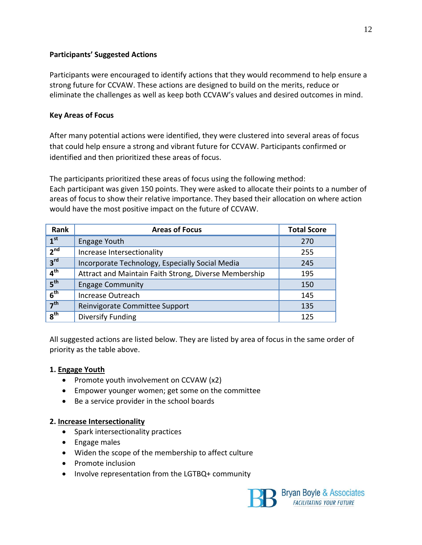#### **Participants' Suggested Actions**

Participants were encouraged to identify actions that they would recommend to help ensure a strong future for CCVAW. These actions are designed to build on the merits, reduce or eliminate the challenges as well as keep both CCVAW's values and desired outcomes in mind.

#### **Key Areas of Focus**

After many potential actions were identified, they were clustered into several areas of focus that could help ensure a strong and vibrant future for CCVAW. Participants confirmed or identified and then prioritized these areas of focus.

The participants prioritized these areas of focus using the following method: Each participant was given 150 points. They were asked to allocate their points to a number of areas of focus to show their relative importance. They based their allocation on where action would have the most positive impact on the future of CCVAW.

| Rank            | <b>Areas of Focus</b>                                 | <b>Total Score</b> |
|-----------------|-------------------------------------------------------|--------------------|
| 1 <sup>st</sup> | <b>Engage Youth</b>                                   | 270                |
| 2 <sup>nd</sup> | Increase Intersectionality                            | 255                |
| 3 <sup>rd</sup> | Incorporate Technology, Especially Social Media       | 245                |
| 4 <sup>th</sup> | Attract and Maintain Faith Strong, Diverse Membership | 195                |
| 5 <sup>th</sup> | <b>Engage Community</b>                               | 150                |
| 6 <sup>th</sup> | Increase Outreach                                     | 145                |
| 7 <sup>th</sup> | Reinvigorate Committee Support                        | 135                |
| 8 <sup>th</sup> | <b>Diversify Funding</b>                              | 125                |

All suggested actions are listed below. They are listed by area of focus in the same order of priority as the table above.

#### **1. Engage Youth**

- Promote youth involvement on CCVAW (x2)
- Empower younger women; get some on the committee
- Be a service provider in the school boards

#### **2. Increase Intersectionality**

- Spark intersectionality practices
- Engage males
- Widen the scope of the membership to affect culture
- Promote inclusion
- Involve representation from the LGTBQ+ community

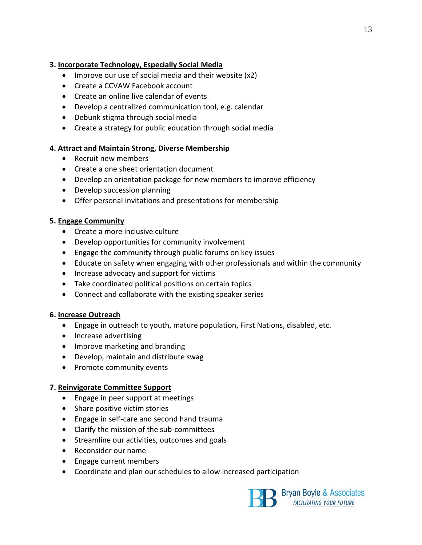#### **3. Incorporate Technology, Especially Social Media**

- $\bullet$  Improve our use of social media and their website (x2)
- Create a CCVAW Facebook account
- Create an online live calendar of events
- Develop a centralized communication tool, e.g. calendar
- Debunk stigma through social media
- Create a strategy for public education through social media

#### **4. Attract and Maintain Strong, Diverse Membership**

- Recruit new members
- Create a one sheet orientation document
- Develop an orientation package for new members to improve efficiency
- Develop succession planning
- Offer personal invitations and presentations for membership

#### **5. Engage Community**

- Create a more inclusive culture
- Develop opportunities for community involvement
- Engage the community through public forums on key issues
- Educate on safety when engaging with other professionals and within the community
- Increase advocacy and support for victims
- Take coordinated political positions on certain topics
- Connect and collaborate with the existing speaker series

#### **6. Increase Outreach**

- Engage in outreach to youth, mature population, First Nations, disabled, etc.
- Increase advertising
- Improve marketing and branding
- Develop, maintain and distribute swag
- Promote community events

#### **7. Reinvigorate Committee Support**

- Engage in peer support at meetings
- Share positive victim stories
- Engage in self-care and second hand trauma
- Clarify the mission of the sub-committees
- Streamline our activities, outcomes and goals
- Reconsider our name
- Engage current members
- Coordinate and plan our schedules to allow increased participation



Bryan Boyle & Associates **FACILITATING YOUR FUTURE**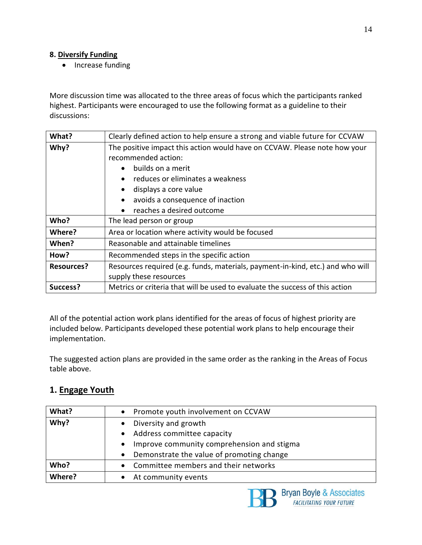#### **8. Diversify Funding**

• Increase funding

More discussion time was allocated to the three areas of focus which the participants ranked highest. Participants were encouraged to use the following format as a guideline to their discussions:

| What?             | Clearly defined action to help ensure a strong and viable future for CCVAW     |
|-------------------|--------------------------------------------------------------------------------|
| Why?              | The positive impact this action would have on CCVAW. Please note how your      |
|                   | recommended action:                                                            |
|                   | builds on a merit<br>$\bullet$                                                 |
|                   | reduces or eliminates a weakness<br>$\bullet$                                  |
|                   | displays a core value                                                          |
|                   | avoids a consequence of inaction<br>$\bullet$                                  |
|                   | reaches a desired outcome<br>$\bullet$                                         |
| Who?              | The lead person or group                                                       |
| Where?            | Area or location where activity would be focused                               |
| When?             | Reasonable and attainable timelines                                            |
| How?              | Recommended steps in the specific action                                       |
| <b>Resources?</b> | Resources required (e.g. funds, materials, payment-in-kind, etc.) and who will |
|                   | supply these resources                                                         |
| Success?          | Metrics or criteria that will be used to evaluate the success of this action   |

All of the potential action work plans identified for the areas of focus of highest priority are included below. Participants developed these potential work plans to help encourage their implementation.

The suggested action plans are provided in the same order as the ranking in the Areas of Focus table above.

### **1. Engage Youth**

| What?  | • Promote youth involvement on CCVAW                    |
|--------|---------------------------------------------------------|
| Why?   | Diversity and growth                                    |
|        | • Address committee capacity                            |
|        | Improve community comprehension and stigma<br>$\bullet$ |
|        | Demonstrate the value of promoting change<br>$\bullet$  |
| Who?   | Committee members and their networks<br>$\bullet$       |
| Where? | At community events                                     |

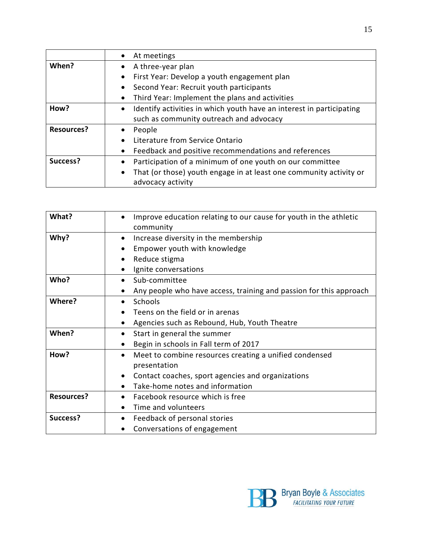|                   | At meetings                                                                       |
|-------------------|-----------------------------------------------------------------------------------|
| When?             | A three-year plan<br>$\bullet$                                                    |
|                   | First Year: Develop a youth engagement plan<br>$\bullet$                          |
|                   | Second Year: Recruit youth participants<br>$\bullet$                              |
|                   | Third Year: Implement the plans and activities                                    |
| How?              | Identify activities in which youth have an interest in participating<br>$\bullet$ |
|                   | such as community outreach and advocacy                                           |
| <b>Resources?</b> | People                                                                            |
|                   | Literature from Service Ontario                                                   |
|                   | Feedback and positive recommendations and references                              |
| Success?          | Participation of a minimum of one youth on our committee<br>$\bullet$             |
|                   | That (or those) youth engage in at least one community activity or<br>$\bullet$   |
|                   | advocacy activity                                                                 |

| What?             | Improve education relating to our cause for youth in the athletic       |
|-------------------|-------------------------------------------------------------------------|
|                   | community                                                               |
| Why?              | Increase diversity in the membership<br>$\bullet$                       |
|                   | Empower youth with knowledge<br>٠                                       |
|                   | Reduce stigma<br>$\bullet$                                              |
|                   | Ignite conversations<br>$\bullet$                                       |
| Who?              | Sub-committee                                                           |
|                   | Any people who have access, training and passion for this approach<br>٠ |
| Where?            | Schools<br>$\bullet$                                                    |
|                   | Teens on the field or in arenas                                         |
|                   | Agencies such as Rebound, Hub, Youth Theatre<br>$\bullet$               |
| When?             | Start in general the summer<br>$\bullet$                                |
|                   | Begin in schools in Fall term of 2017<br>$\bullet$                      |
| How?              | Meet to combine resources creating a unified condensed<br>$\bullet$     |
|                   | presentation                                                            |
|                   | Contact coaches, sport agencies and organizations<br>$\bullet$          |
|                   | Take-home notes and information<br>$\bullet$                            |
| <b>Resources?</b> | Facebook resource which is free                                         |
|                   | Time and volunteers                                                     |
| Success?          | Feedback of personal stories<br>$\bullet$                               |
|                   | Conversations of engagement                                             |

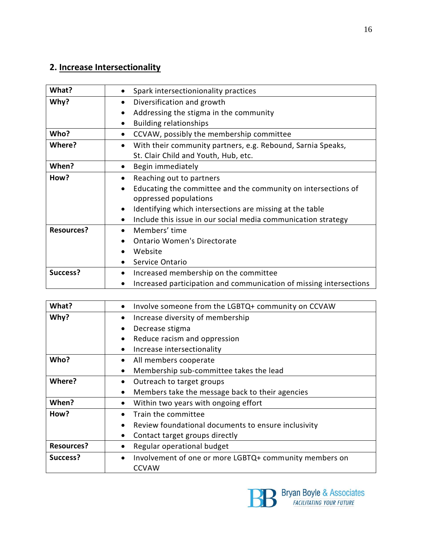## **2. Increase Intersectionality**

| What?             | Spark intersectionionality practices<br>٠                                  |
|-------------------|----------------------------------------------------------------------------|
| Why?              | Diversification and growth<br>$\bullet$                                    |
|                   | Addressing the stigma in the community<br>$\bullet$                        |
|                   | <b>Building relationships</b><br>$\bullet$                                 |
| Who?              | CCVAW, possibly the membership committee<br>$\bullet$                      |
| Where?            | With their community partners, e.g. Rebound, Sarnia Speaks,<br>$\bullet$   |
|                   | St. Clair Child and Youth, Hub, etc.                                       |
| When?             | Begin immediately<br>$\bullet$                                             |
| How?              | Reaching out to partners<br>$\bullet$                                      |
|                   | Educating the committee and the community on intersections of<br>$\bullet$ |
|                   | oppressed populations                                                      |
|                   | Identifying which intersections are missing at the table<br>$\bullet$      |
|                   | Include this issue in our social media communication strategy              |
| <b>Resources?</b> | Members' time                                                              |
|                   | <b>Ontario Women's Directorate</b>                                         |
|                   | Website                                                                    |
|                   | Service Ontario<br>$\bullet$                                               |
| Success?          | Increased membership on the committee<br>$\bullet$                         |
|                   | Increased participation and communication of missing intersections         |

| What?             | Involve someone from the LGBTQ+ community on CCVAW<br>$\bullet$     |
|-------------------|---------------------------------------------------------------------|
| Why?              | Increase diversity of membership<br>٠                               |
|                   | Decrease stigma<br>$\bullet$                                        |
|                   | Reduce racism and oppression<br>$\bullet$                           |
|                   | Increase intersectionality<br>$\bullet$                             |
| Who?              | All members cooperate<br>٠                                          |
|                   | Membership sub-committee takes the lead<br>$\bullet$                |
| Where?            | Outreach to target groups<br>٠                                      |
|                   | Members take the message back to their agencies<br>$\bullet$        |
| When?             | Within two years with ongoing effort<br>$\bullet$                   |
| How?              | Train the committee                                                 |
|                   | Review foundational documents to ensure inclusivity<br>$\bullet$    |
|                   | Contact target groups directly<br>$\bullet$                         |
| <b>Resources?</b> | Regular operational budget<br>$\bullet$                             |
| Success?          | Involvement of one or more LGBTQ+ community members on<br>$\bullet$ |
|                   | <b>CCVAW</b>                                                        |

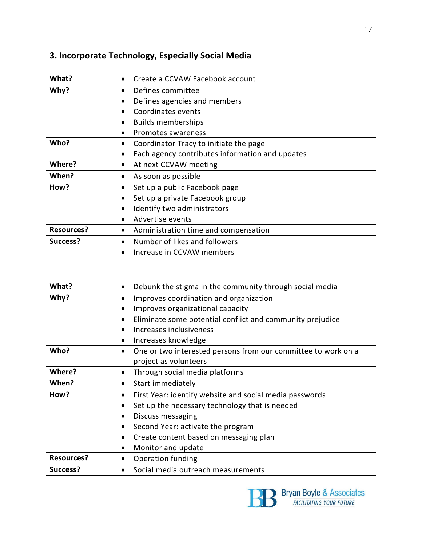## **3. Incorporate Technology, Especially Social Media**

| What?             | Create a CCVAW Facebook account<br>$\bullet$                 |
|-------------------|--------------------------------------------------------------|
| Why?              | Defines committee<br>$\bullet$                               |
|                   | Defines agencies and members<br>$\bullet$                    |
|                   | Coordinates events                                           |
|                   | <b>Builds memberships</b><br>$\bullet$                       |
|                   | Promotes awareness<br>$\bullet$                              |
| Who?              | Coordinator Tracy to initiate the page<br>$\bullet$          |
|                   | Each agency contributes information and updates<br>$\bullet$ |
| Where?            | At next CCVAW meeting                                        |
| When?             | As soon as possible<br>$\bullet$                             |
| How?              | Set up a public Facebook page<br>$\bullet$                   |
|                   | Set up a private Facebook group<br>$\bullet$                 |
|                   | Identify two administrators                                  |
|                   | Advertise events                                             |
| <b>Resources?</b> | Administration time and compensation                         |
| Success?          | Number of likes and followers<br>$\bullet$                   |
|                   | Increase in CCVAW members<br>$\bullet$                       |

| What?             | Debunk the stigma in the community through social media                    |
|-------------------|----------------------------------------------------------------------------|
| Why?              | Improves coordination and organization<br>$\bullet$                        |
|                   | Improves organizational capacity<br>$\bullet$                              |
|                   | Eliminate some potential conflict and community prejudice<br>$\bullet$     |
|                   | Increases inclusiveness<br>$\bullet$                                       |
|                   | Increases knowledge<br>$\bullet$                                           |
| Who?              | One or two interested persons from our committee to work on a<br>$\bullet$ |
|                   | project as volunteers                                                      |
| Where?            | Through social media platforms<br>$\bullet$                                |
|                   |                                                                            |
| When?             | Start immediately<br>٠                                                     |
| How?              | First Year: identify website and social media passwords<br>$\bullet$       |
|                   | Set up the necessary technology that is needed<br>$\bullet$                |
|                   | Discuss messaging<br>$\bullet$                                             |
|                   | Second Year: activate the program<br>$\bullet$                             |
|                   | Create content based on messaging plan<br>٠                                |
|                   | Monitor and update<br>$\bullet$                                            |
| <b>Resources?</b> | <b>Operation funding</b><br>$\bullet$                                      |

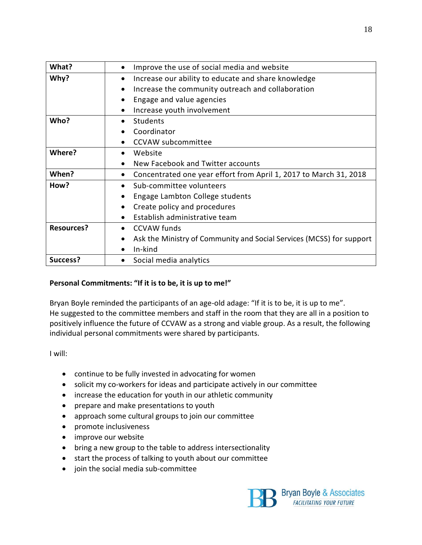| What?             | Improve the use of social media and website                                       |
|-------------------|-----------------------------------------------------------------------------------|
| Why?              | Increase our ability to educate and share knowledge<br>٠                          |
|                   | Increase the community outreach and collaboration<br>٠                            |
|                   | Engage and value agencies<br>$\bullet$                                            |
|                   | Increase youth involvement<br>$\bullet$                                           |
| Who?              | <b>Students</b>                                                                   |
|                   | Coordinator                                                                       |
|                   | <b>CCVAW</b> subcommittee<br>$\bullet$                                            |
| Where?            | Website<br>$\bullet$                                                              |
|                   | New Facebook and Twitter accounts<br>$\bullet$                                    |
| When?             | Concentrated one year effort from April 1, 2017 to March 31, 2018<br>٠            |
| How?              | Sub-committee volunteers                                                          |
|                   | Engage Lambton College students                                                   |
|                   | Create policy and procedures<br>$\bullet$                                         |
|                   | Establish administrative team                                                     |
| <b>Resources?</b> | <b>CCVAW</b> funds<br>$\bullet$                                                   |
|                   | Ask the Ministry of Community and Social Services (MCSS) for support<br>$\bullet$ |
|                   | In-kind<br>$\bullet$                                                              |
| Success?          | Social media analytics<br>$\bullet$                                               |

#### **Personal Commitments: "If it is to be, it is up to me!"**

Bryan Boyle reminded the participants of an age-old adage: "If it is to be, it is up to me". He suggested to the committee members and staff in the room that they are all in a position to positively influence the future of CCVAW as a strong and viable group. As a result, the following individual personal commitments were shared by participants.

I will:

- continue to be fully invested in advocating for women
- solicit my co-workers for ideas and participate actively in our committee
- increase the education for youth in our athletic community
- prepare and make presentations to youth
- approach some cultural groups to join our committee
- promote inclusiveness
- improve our website
- bring a new group to the table to address intersectionality
- start the process of talking to youth about our committee
- join the social media sub-committee